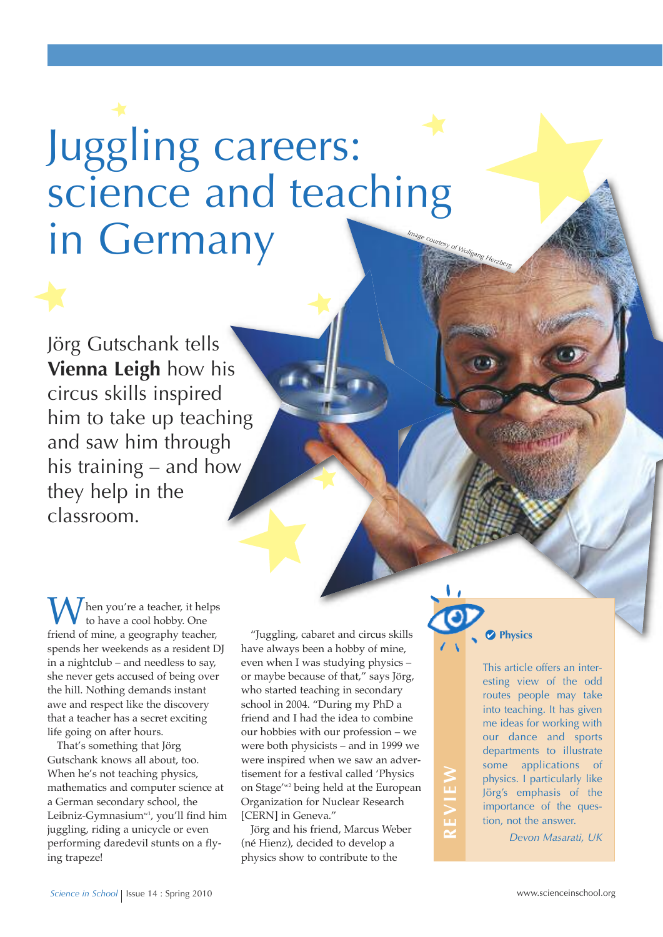## *Image courtesy of Wolfgang Herzberg* Juggling careers: science and teaching in Germany

Jörg Gutschank tells **vienna Leigh** how his circus skills inspired him to take up teaching and saw him through his training – and how they help in the classroom.

 $\int$  hen you're a teacher, it helps to have a cool hobby. One friend of mine, a geography teacher, spends her weekends as a resident DJ in a nightclub – and needless to say, she never gets accused of being over the hill. Nothing demands instant awe and respect like the discovery that a teacher has a secret exciting life going on after hours.

That's something that Jörg Gutschank knows all about, too. When he's not teaching physics, mathematics and computer science at a German secondary school, the Leibniz-Gymnasium<sup>w1</sup>, you'll find him juggling, riding a unicycle or even performing daredevil stunts on a flying trapeze!

"Juggling, cabaret and circus skills have always been a hobby of mine, even when I was studying physics – or maybe because of that," says Jörg, who started teaching in secondary school in 2004. "During my PhD a friend and I had the idea to combine our hobbies with our profession – we were both physicists – and in 1999 we were inspired when we saw an advertisement for a festival called 'Physics on Stage' w2 being held at the European Organization for Nuclear Research [CERN] in Geneva."

Jörg and his friend, Marcus Weber (né Hienz), decided to develop a physics show to contribute to the



**R**

**E**

**vIE**

**W**

This article offers an interesting view of the odd routes people may take into teaching. It has given me ideas for working with our dance and sports departments to illustrate some applications of physics. I particularly like Jörg's emphasis of the importance of the question, not the answer.

*Devon Masarati, UK*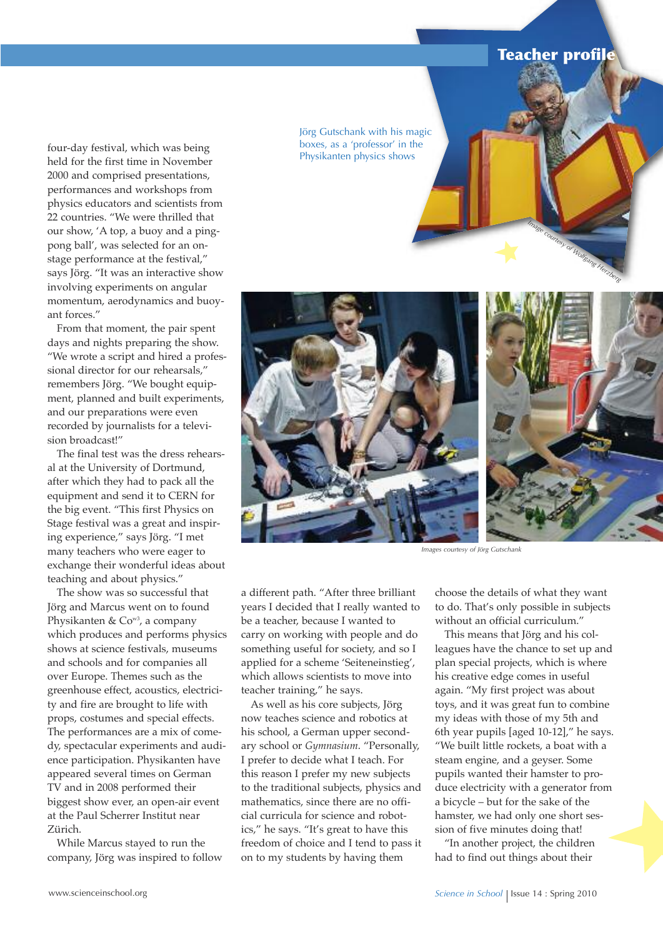## **Teacher profile**

*Image courtesy of Wolfgang Herzberg*

four-day festival, which was being held for the first time in November 2000 and comprised presentations, performances and workshops from physics educators and scientists from 22 countries. "We were thrilled that our show, 'A top, a buoy and a pingpong ball', was selected for an onstage performance at the festival," says Jörg. "It was an interactive show involving experiments on angular momentum, aerodynamics and buoyant forces."

From that moment, the pair spent days and nights preparing the show. "We wrote a script and hired a professional director for our rehearsals," remembers Jörg. "We bought equipment, planned and built experiments, and our preparations were even recorded by journalists for a television broadcast!"

The final test was the dress rehearsal at the University of Dortmund, after which they had to pack all the equipment and send it to CERN for the big event. "This first Physics on Stage festival was a great and inspiring experience," says Jörg. "I met many teachers who were eager to exchange their wonderful ideas about teaching and about physics."

The show was so successful that Jörg and Marcus went on to found Physikanten & Cow3, a company which produces and performs physics shows at science festivals, museums and schools and for companies all over Europe. Themes such as the greenhouse effect, acoustics, electricity and fire are brought to life with props, costumes and special effects. The performances are a mix of comedy, spectacular experiments and audience participation. Physikanten have appeared several times on German TV and in 2008 performed their biggest show ever, an open-air event at the Paul Scherrer Institut near Zürich.

While Marcus stayed to run the company, Jörg was inspired to follow Jörg Gutschank with his magic boxes, as a 'professor' in the Physikanten physics shows



*Images courtesy of Jörg Gutschank*

a different path. "After three brilliant years I decided that I really wanted to be a teacher, because I wanted to carry on working with people and do something useful for society, and so I applied for a scheme 'Seiteneinstieg', which allows scientists to move into teacher training," he says.

As well as his core subjects, Jörg now teaches science and robotics at his school, a German upper secondary school or *Gymnasium*. "Personally, I prefer to decide what I teach. For this reason I prefer my new subjects to the traditional subjects, physics and mathematics, since there are no official curricula for science and robotics," he says. "It's great to have this freedom of choice and I tend to pass it on to my students by having them

choose the details of what they want to do. That's only possible in subjects without an official curriculum."

This means that Jörg and his colleagues have the chance to set up and plan special projects, which is where his creative edge comes in useful again. "My first project was about toys, and it was great fun to combine my ideas with those of my 5th and 6th year pupils [aged 10-12]," he says. "We built little rockets, a boat with a steam engine, and a geyser. Some pupils wanted their hamster to produce electricity with a generator from a bicycle – but for the sake of the hamster, we had only one short session of five minutes doing that!

"In another project, the children had to find out things about their